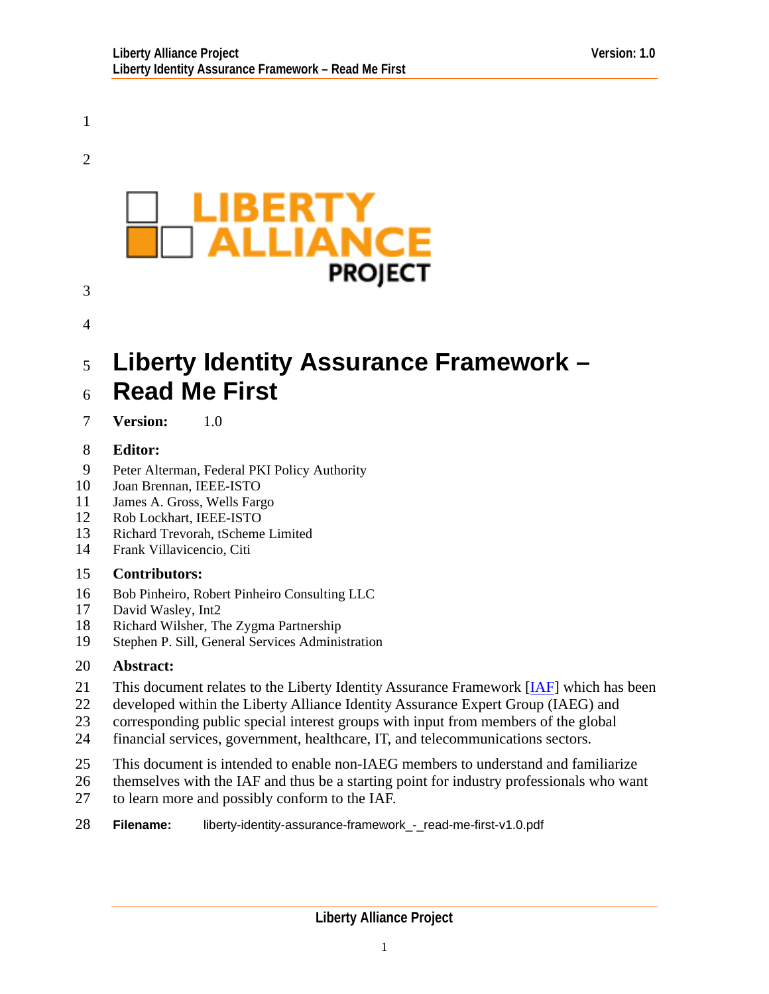<span id="page-0-0"></span>1

2



# 3

#### 4

#### 5 6 **Liberty Identity Assurance Framework – Read Me First**

7 **Version:** 1.0

#### 8 **Editor:**

- 9 Peter Alterman, Federal PKI Policy Authority
- 10 Joan Brennan, IEEE-ISTO
- 11 James A. Gross, Wells Fargo
- 12 Rob Lockhart, IEEE-ISTO
- 13 Richard Trevorah, tScheme Limited
- 14 Frank Villavicencio, Citi

#### 15 **Contributors:**

- 16 Bob Pinheiro, Robert Pinheiro Consulting LLC
- 17 David Wasley, Int2
- 18 Richard Wilsher, The Zygma Partnership
- 19 Stephen P. Sill, General Services Administration

#### 20 **Abstract:**

- This document relates to the Liberty Identity Assurance Framework [\[IAF\]](#page-7-0) which has been 21
- developed within the Liberty Alliance Identity Assurance Expert Group (IAEG) and 22
- corresponding public special interest groups with input from members of the global 23
- financial services, government, healthcare, IT, and telecommunications sectors. 24
- 25 This document is intended to enable non-IAEG members to understand and familiarize
- 26 themselves with the IAF and thus be a starting point for industry professionals who want
- 27 to learn more and possibly conform to the IAF.
- 28 **Filename:** liberty-identity-assurance-framework - read-me-first-v1.0.pdf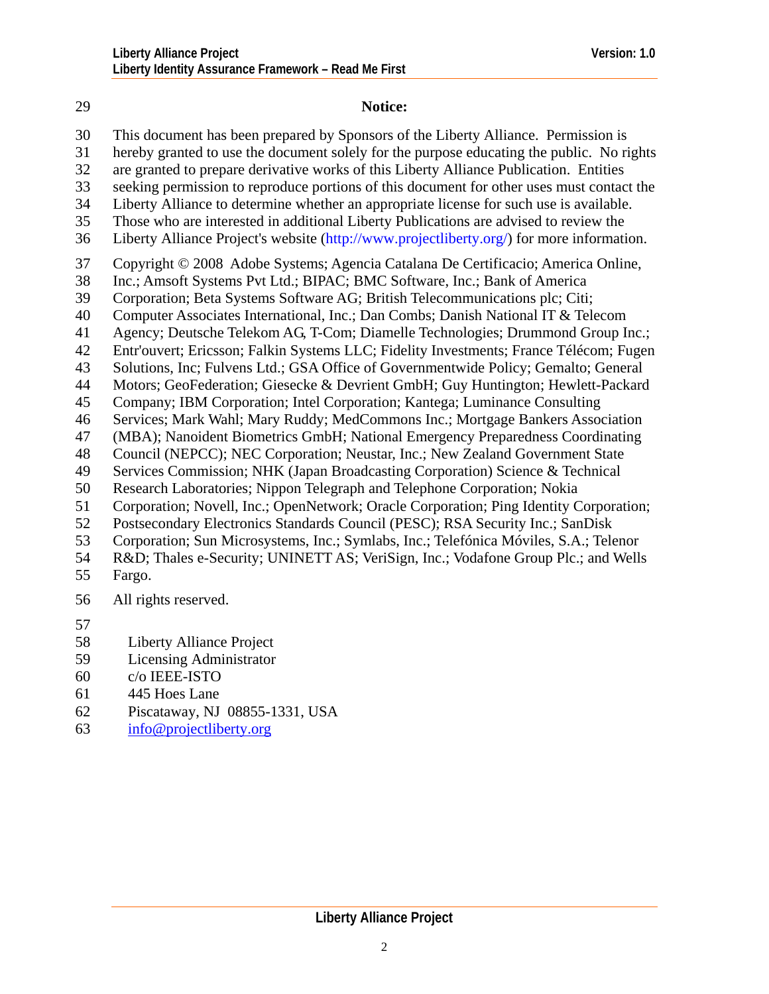29 **Notice:** 

#### This document has been prepared by Sponsors of the Liberty Alliance. Permission is hereby granted to use the document solely for the purpose educating the public. No rights are granted to prepare derivative works of this Liberty Alliance Publication. Entities seeking permission to reproduce portions of this document for other uses must contact the Liberty Alliance to determine whether an appropriate license for such use is available. Those who are interested in additional Liberty Publications are advised to review the Liberty Alliance Project's website (http://www.projectliberty.org/) for more information. Copyright © 2008 Adobe Systems; Agencia Catalana De Certificacio; America Online, Inc.; Amsoft Systems Pvt Ltd.; BIPAC; BMC Software, Inc.; Bank of America Corporation; Beta Systems Software AG; British Telecommunications plc; Citi; Computer Associates International, Inc.; Dan Combs; Danish National IT & Telecom

- 41 Agency; Deutsche Telekom AG, T-Com; Diamelle Technologies; Drummond Group Inc.;
- 42 Entr'ouvert; Ericsson; Falkin Systems LLC; Fidelity Investments; France Télécom; Fugen
- 43 Solutions, Inc; Fulvens Ltd.; GSA Office of Governmentwide Policy; Gemalto; General
- 44 Motors; GeoFederation; Giesecke & Devrient GmbH; Guy Huntington; Hewlett-Packard
- 45 Company; IBM Corporation; Intel Corporation; Kantega; Luminance Consulting
- 46 Services; Mark Wahl; Mary Ruddy; MedCommons Inc.; Mortgage Bankers Association
- 47 (MBA); Nanoident Biometrics GmbH; National Emergency Preparedness Coordinating
- 48 Council (NEPCC); NEC Corporation; Neustar, Inc.; New Zealand Government State
- 49 Services Commission; NHK (Japan Broadcasting Corporation) Science & Technical
- 50 Research Laboratories; Nippon Telegraph and Telephone Corporation; Nokia
- 51 Corporation; Novell, Inc.; OpenNetwork; Oracle Corporation; Ping Identity Corporation;
- 52 Postsecondary Electronics Standards Council (PESC); RSA Security Inc.; SanDisk
- 53 Corporation; Sun Microsystems, Inc.; Symlabs, Inc.; Telefónica Móviles, S.A.; Telenor
- 54 R&D; Thales e-Security; UNINETT AS; VeriSign, Inc.; Vodafone Group Plc.; and Wells
- 55 Fargo.
- 56 All rights reserved.
- 57

- 58 Liberty Alliance Project
- 59 Licensing Administrator
- 60 c/o IEEE-ISTO
- 61 445 Hoes Lane
- 62 Piscataway, NJ 08855-1331, USA
- 63 [info@projectliberty.org](mailto:info@projectliberty.org)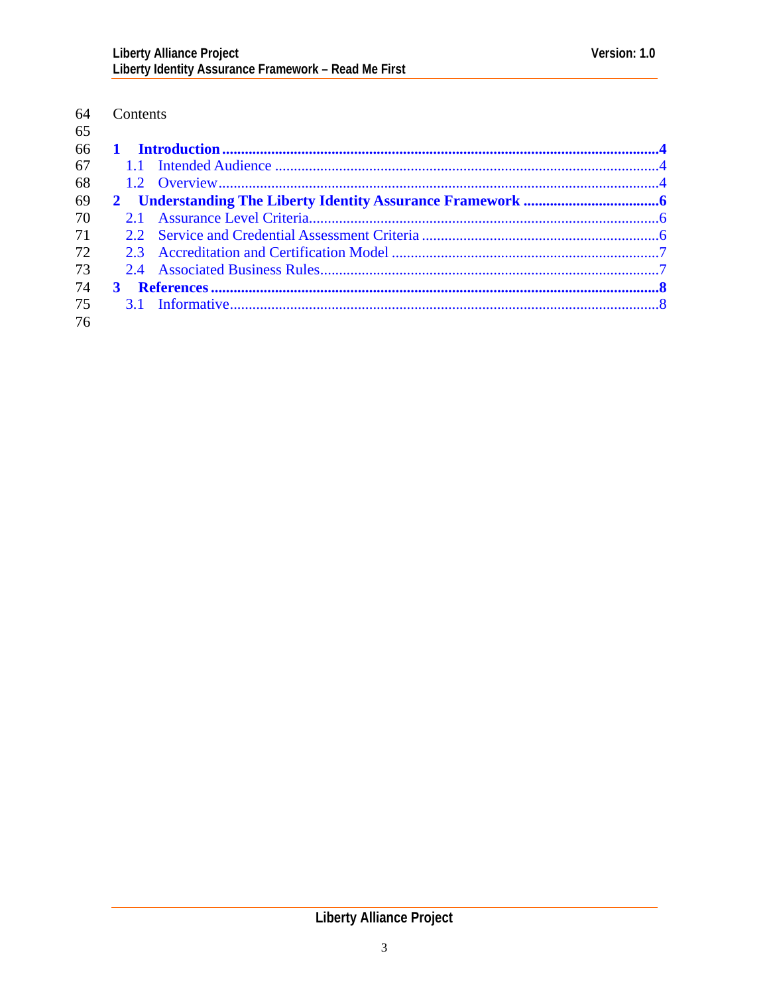#### 64 Contents  $65$

| 66 |  |  |
|----|--|--|
|    |  |  |
|    |  |  |
|    |  |  |
|    |  |  |
|    |  |  |
|    |  |  |
|    |  |  |
| 74 |  |  |
|    |  |  |
|    |  |  |
|    |  |  |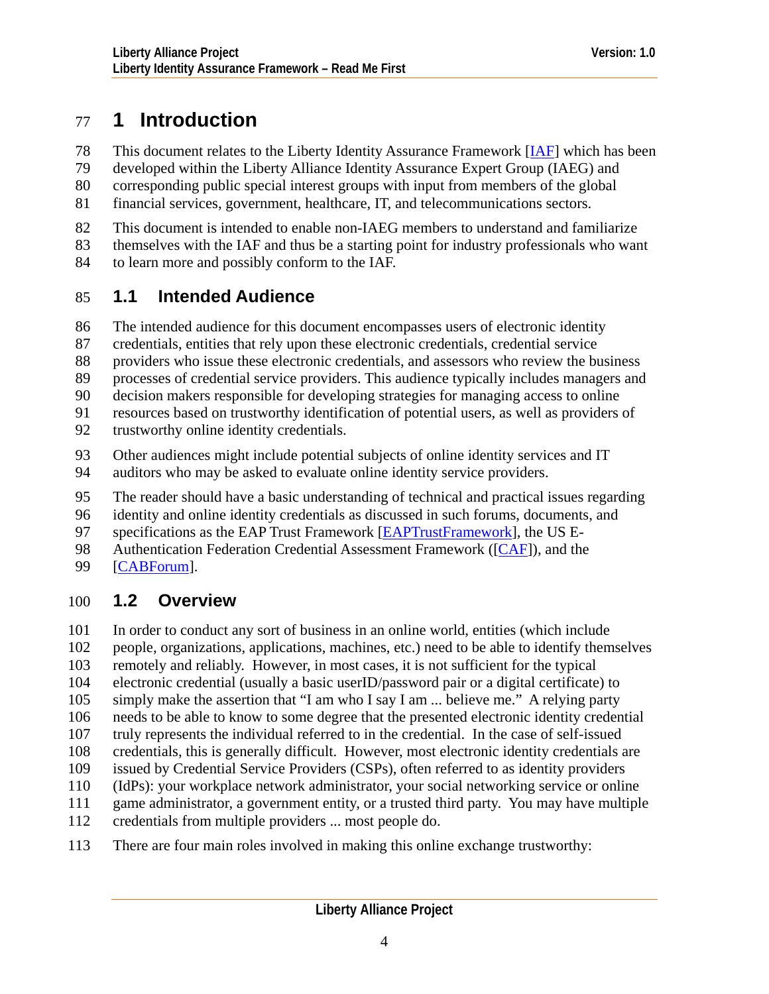# <span id="page-3-0"></span>77 **1 Introduction**

This document relates to the Liberty Identity Assurance Framework [\[IAF\]](#page-7-0) which has been 78

developed within the Liberty Alliance Identity Assurance Expert Group (IAEG) and 79

corresponding public special interest groups with input from members of the global 80

financial services, government, healthcare, IT, and telecommunications sectors. 81

- 82 This document is intended to enable non-IAEG members to understand and familiarize
- 83 themselves with the IAF and thus be a starting point for industry professionals who want

84 to learn more and possibly conform to the IAF.

## 85 **1.1 Intended Audience**

86 The intended audience for this document encompasses users of electronic identity

- 87 credentials, entities that rely upon these electronic credentials, credential service
- 88 providers who issue these electronic credentials, and assessors who review the business
- 89 processes of credential service providers. This audience typically includes managers and
- 90 decision makers responsible for developing strategies for managing access to online
- 91 resources based on trustworthy identification of potential users, as well as providers of
- 92 trustworthy online identity credentials.
- 93 Other audiences might include potential subjects of online identity services and IT
- 94 auditors who may be asked to evaluate online identity service providers.
- 95 The reader should have a basic understanding of technical and practical issues regarding
- 96 identity and online identity credentials as discussed in such forums, documents, and
- specifications as the EAP Trust Framework [[EAPTrustFramework\]](#page-7-0), the US E-97
- Authentication Federation Credential Assessment Framework ([[CAF](#page-7-0)]), and the 98
- 99 [[CABForum\]](#page-7-0).

## 100 **1.2 Overview**

101 In order to conduct any sort of business in an online world, entities (which include

102 people, organizations, applications, machines, etc.) need to be able to identify themselves

103 remotely and reliably. However, in most cases, it is not sufficient for the typical

104 electronic credential (usually a basic userID/password pair or a digital certificate) to

- 105 simply make the assertion that "I am who I say I am ... believe me." A relying party
- 106 needs to be able to know to some degree that the presented electronic identity credential
- 107 truly represents the individual referred to in the credential. In the case of self-issued
- 108 credentials, this is generally difficult. However, most electronic identity credentials are
- 109 issued by Credential Service Providers (CSPs), often referred to as identity providers
- 110 (IdPs): your workplace network administrator, your social networking service or online
- 111 game administrator, a government entity, or a trusted third party. You may have multiple
- 112 credentials from multiple providers ... most people do.
- 113 There are four main roles involved in making this online exchange trustworthy: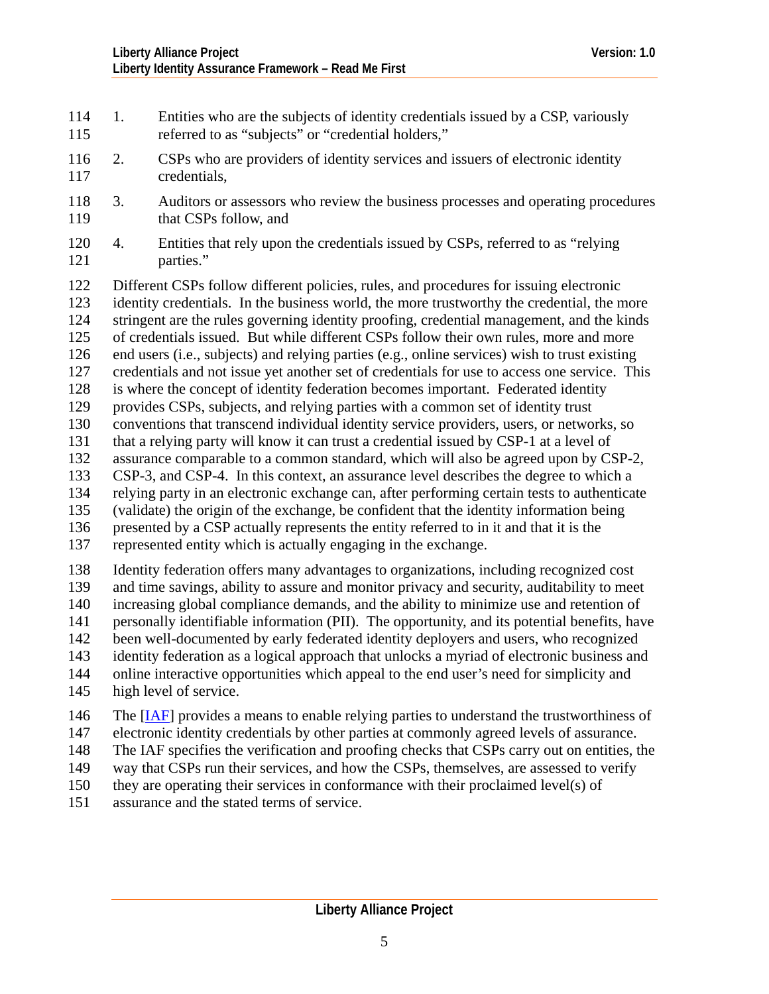- 114 1. Entities who are the subjects of identity credentials issued by a CSP, variously 115 referred to as "subjects" or "credential holders,"
- 117 116 2. CSPs who are providers of identity services and issuers of electronic identity credentials,
- 119 118 3. Auditors or assessors who review the business processes and operating procedures that CSPs follow, and
- 121 120 4. Entities that rely upon the credentials issued by CSPs, referred to as "relying parties."

122 123 124 125 126 127 128 129 130 131 132 133 134 135 136 137 Different CSPs follow different policies, rules, and procedures for issuing electronic identity credentials. In the business world, the more trustworthy the credential, the more stringent are the rules governing identity proofing, credential management, and the kinds of credentials issued. But while different CSPs follow their own rules, more and more end users (i.e., subjects) and relying parties (e.g., online services) wish to trust existing credentials and not issue yet another set of credentials for use to access one service. This is where the concept of identity federation becomes important. Federated identity provides CSPs, subjects, and relying parties with a common set of identity trust conventions that transcend individual identity service providers, users, or networks, so that a relying party will know it can trust a credential issued by CSP-1 at a level of assurance comparable to a common standard, which will also be agreed upon by CSP-2, CSP-3, and CSP-4. In this context, an assurance level describes the degree to which a relying party in an electronic exchange can, after performing certain tests to authenticate (validate) the origin of the exchange, be confident that the identity information being presented by a CSP actually represents the entity referred to in it and that it is the represented entity which is actually engaging in the exchange.

138 139 140 141 142 143 144 145 Identity federation offers many advantages to organizations, including recognized cost and time savings, ability to assure and monitor privacy and security, auditability to meet increasing global compliance demands, and the ability to minimize use and retention of personally identifiable information (PII). The opportunity, and its potential benefits, have been well-documented by early federated identity deployers and users, who recognized identity federation as a logical approach that unlocks a myriad of electronic business and online interactive opportunities which appeal to the end user's need for simplicity and high level of service.

- The [[IAF\]](#page-0-0) provides a means to enable relying parties to understand the trustworthiness of 146
- electronic identity credentials by other parties at commonly agreed levels of assurance. 147
- The IAF specifies the verification and proofing checks that CSPs carry out on entities, the 148
- way that CSPs run their services, and how the CSPs, themselves, are assessed to verify 149
- they are operating their services in conformance with their proclaimed level(s) of 150
- assurance and the stated terms of service. 151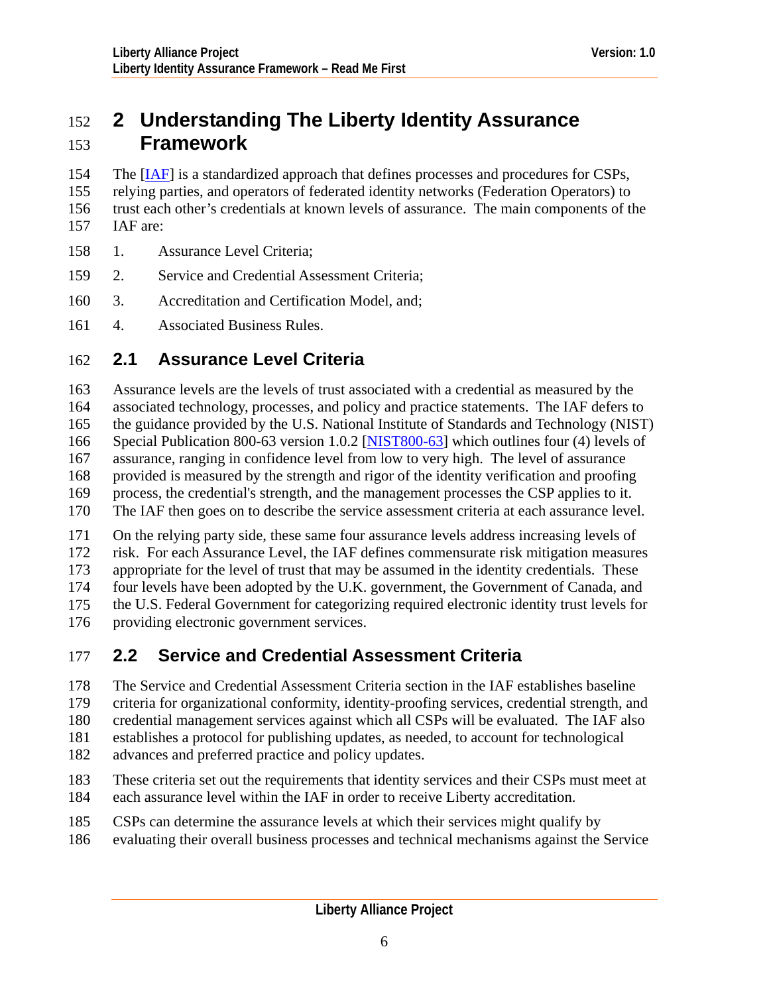# <span id="page-5-0"></span>152 **2 Understanding The Liberty Identity Assurance**  153 **Framework**

- The [[IAF\]](#page-7-0) is a standardized approach that defines processes and procedures for CSPs, 154
- relying parties, and operators of federated identity networks (Federation Operators) to 155
- trust each other's credentials at known levels of assurance. The main components of the 156
- IAF are: 157
- 158 1. Assurance Level Criteria;
- 159 2. Service and Credential Assessment Criteria;
- 160 3. Accreditation and Certification Model, and;
- 161 4. Associated Business Rules.

## 162 **2.1 Assurance Level Criteria**

163 164 165 Assurance levels are the levels of trust associated with a credential as measured by the associated technology, processes, and policy and practice statements. The IAF defers to the guidance provided by the U.S. National Institute of Standards and Technology (NIST) Special Publication 800-63 version 1.0.2 [\[NIST800-63](#page-7-0)] which outlines four (4) levels of 166

- assurance, ranging in confidence level from low to very high. The level of assurance 167
- provided is measured by the strength and rigor of the identity verification and proofing 168
- process, the credential's strength, and the management processes the CSP applies to it. 169
- The IAF then goes on to describe the service assessment criteria at each assurance level. 170
- 171 On the relying party side, these same four assurance levels address increasing levels of
- 172 risk. For each Assurance Level, the IAF defines commensurate risk mitigation measures
- 173 appropriate for the level of trust that may be assumed in the identity credentials. These
- 174 four levels have been adopted by the U.K. government, the Government of Canada, and
- 175 the U.S. Federal Government for categorizing required electronic identity trust levels for
- 176 providing electronic government services.

## 177 **2.2 Service and Credential Assessment Criteria**

- 178 The Service and Credential Assessment Criteria section in the IAF establishes baseline
- 179 criteria for organizational conformity, identity-proofing services, credential strength, and
- 180 credential management services against which all CSPs will be evaluated. The IAF also
- 181 establishes a protocol for publishing updates, as needed, to account for technological
- 182 advances and preferred practice and policy updates.
- 183 184 These criteria set out the requirements that identity services and their CSPs must meet at each assurance level within the IAF in order to receive Liberty accreditation.
- 185 CSPs can determine the assurance levels at which their services might qualify by
- 186 evaluating their overall business processes and technical mechanisms against the Service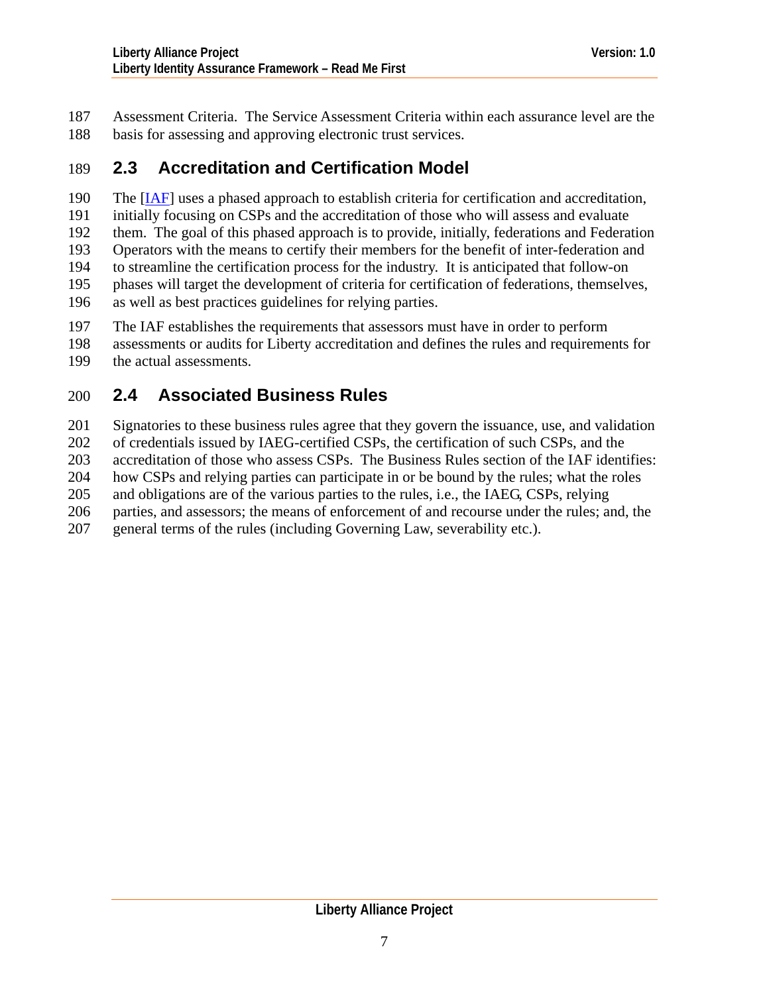<span id="page-6-0"></span>Assessment Criteria. The Service Assessment Criteria within each assurance level are the basis for assessing and approving electronic trust services. 187 188

### 189 **2.3 Accreditation and Certification Model**

The [[IAF\]](#page-7-0) uses a phased approach to establish criteria for certification and accreditation, initially focusing on CSPs and the accreditation of those who will assess and evaluate them. The goal of this phased approach is to provide, initially, federations and Federation Operators with the means to certify their members for the benefit of inter-federation and to streamline the certification process for the industry. It is anticipated that follow-on phases will target the development of criteria for certification of federations, themselves, as well as best practices guidelines for relying parties. 190 191 192 193 194 195 196

197 The IAF establishes the requirements that assessors must have in order to perform

198 199 assessments or audits for Liberty accreditation and defines the rules and requirements for the actual assessments.

### 200 **2.4 Associated Business Rules**

201 Signatories to these business rules agree that they govern the issuance, use, and validation

202 of credentials issued by IAEG-certified CSPs, the certification of such CSPs, and the

203 accreditation of those who assess CSPs. The Business Rules section of the IAF identifies:

204 how CSPs and relying parties can participate in or be bound by the rules; what the roles

205 and obligations are of the various parties to the rules, i.e., the IAEG, CSPs, relying

206 parties, and assessors; the means of enforcement of and recourse under the rules; and, the

207 general terms of the rules (including Governing Law, severability etc.).